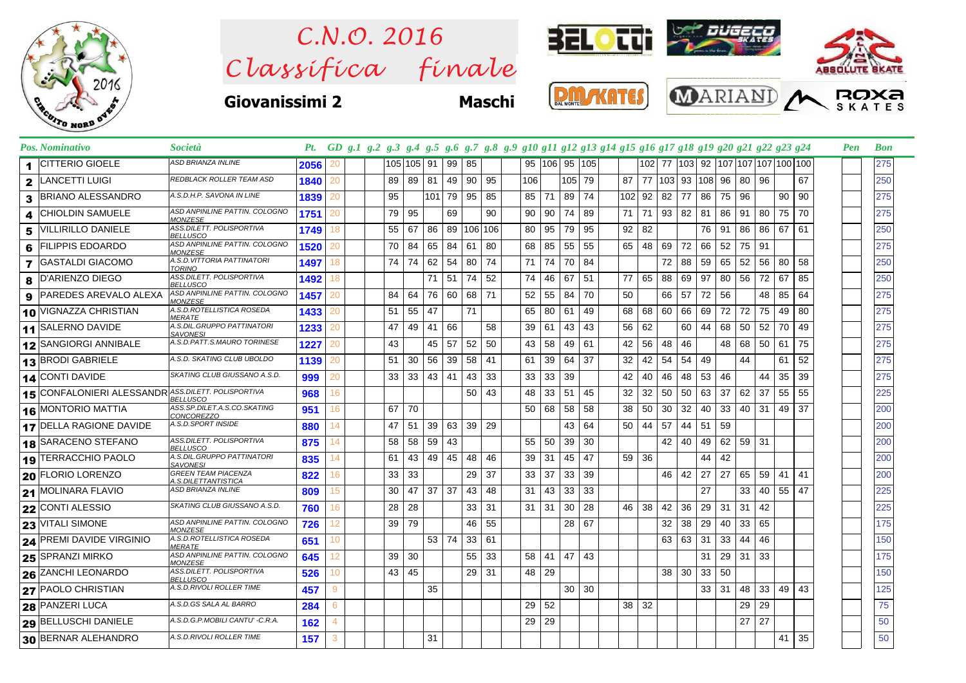

 $Clas$ s *ifica* finale *C.N.O. 2016*



## **Giovanissimi 2 Maschi**









## Pos. Nominativo Società Pt. GD g.1 g.2 g.3 g.4 g.5 g.6 g.7 g.8 g.9 g10 g11 g12 g13 g14 g15 g16 g17 g18 g19 g20 g21 g22 g23 g24 Pen Bon CITTERIO GIOELE **2056** *ASD BRIANZA INLINE* 1 20 105 105 91 99 85 95 106 95 105 102 77 103 92 107 107 107 100 100 275 LANCETTI LUIGI **1840** *REDBLACK ROLLER TEAM ASD* 2 20 89 89 81 49 90 95 106 105 79 87 77 103 93 108 96 80 96 67 250 BRIANO ALESSANDRO **1839** *A.S.D.H.P. SAVONA IN LINE* 3 20 95 101 79 95 85 85 71 89 74 102 92 82 77 86 75 96 90 90 275 4 CHIOLDIN SAMUELE **1751**<br>  $\frac{1751}{2}$  **1751**<br>  $\frac{1751}{2}$  **1740** 20 79 95 69 90 90 90 74 89 71 71 93 82 81 86 91 80 75 70 275 **5** VILLIRILLO DANIELE *ASS.DILETT. POLISPORTIVA* 1749<br> **1749 ASS.DILETT. POLISPORTIVA 1520** 18 | | | 55 | 67 | 86 | 89 | 106 | 106 |  $\,$  | 80 | 95 | 79 | 95 | | 92 | 82 | | | | | 76 | 91 | 86 | 86 | 67 | 61 | | | | | | | | | | 250 FILIPPIS EDOARDO **<sup>1520</sup>** *ASD ANPINLINE PATTIN. COLOGNO* <sup>6</sup> *MONZESE* 20 | | | 70 | 84 | 65 | 84 | 61 | 80 | | 68 | 85 | 55 | 55 | | 65 | 48 | 69 | 72 | 66 | 52 | 75 | 91 | | | | | | | | | | | | | 275 **7** GASTALDI GIACOMO *ASD.VITTORIA PATTINATORI* 1497<br> **1497 1497 1497 ASS.DILETT. POLISPORTIVA** 1492 18 74 74 62 54 80 74 71 74 70 84 72 88 59 65 52 56 80 58 250 8 D'ARIENZO DIEGO *ASS.DILETT. POLISPORTIVA* 1492<br>
8 PAPEDES APEVALO ALEXA *ASD ANPINUME PATTIN. COLOGNO* 1457 18 71 51 74 52 74 46 67 51 77 65 88 69 97 80 56 72 67 85 250 **9** PAREDES AREVALO ALEXA *ASD ANPINLINE PATTIN. COLOGNO* 1457<br>AS DROTELLISTICA ROSEDA 14.23 20 | | |84 |64 |76 |60 |68 |71 | |52 |55 |84 |70 | |50 | |66 |57 |72 |56 | |48 |85 |64 | | | |275 **10** VIGNAZZA CHRISTIAN *AS D.ROTELLISTICA ROSEDA* 1433<br> **14. SALEPNO DAVIDE** *AS DIL GRUPPO PATTINATORI* 1222 20 | | |51 |55 |47 | |71 | | |65 |80 |61 |49 | |68 |68 |60 |66 |69 |72 |72 |75 |49 |80 | | | | |275 11 SALERNO DAVIDE **1233**<br>**12** SANGIORGI ANNIBALE **125.** A.S.D.PATT.S.MAURO TORINESE 1227 20 | | | 47 | 49 | 41 | 66 | | 58 | | 39 | 61 | 43 | 43 | | 56 | 62 | | 60 | 44 | 68 | 50 | 52 | 70 | 49 | | | | | | | | | 275 12 SANGIORGI ANNIBALE A.S.D.PATT.S.MAURO TORINESE 1227 20 43 43 45 57 52 50 43 58 49 61 42 56 48 46 48 50 61 75 275 13 BRODI GABRIELE A.S.*D. SKATING CLUB UBOLDO* 1139 20 | 51 30 56 39 58 41 | 61 39 64 37 | 32 42 54 54 49 | 44 | 61 52 | | 275 CONTI DAVIDE **999** *SKATING CLUB GIUSSANO A.S.D.* 14 20 33 33 43 41 43 33 33 33 39 42 40 46 48 53 46 44 35 39 275 CONFALONIERI ALESSANDR **<sup>968</sup>** *ASS.DILETT. POLISPORTIVA* <sup>15</sup> *BELLUSCO* 16 50 43 48 33 51 45 32 32 50 50 63 37 62 37 55 55 225 **16** MONTORIO MATTIA *ASS.SP.DILET.A.S.CO.SKATING* **951**<br>**17 DELLA BAGIONE DAVIDE** AS*D.SPORT INSIDE* **980** 16 67 70 | | | 50 68 58 58 38 30 32 40 33 40 31 49 37 | | 200 DELLA RAGIONE DAVIDE **880** *A.S.D.SPORT INSIDE* 17 14 47 51 39 63 39 29 43 64 50 44 57 44 51 59 200 SARACENO STEFANO **<sup>875</sup>** *ASS.DILETT. POLISPORTIVA* <sup>18</sup> *BELLUSCO* 14 58 58 59 43 55 50 39 30 42 40 49 62 59 31 200 **19** TERRACCHIO PAOLO **835**<br>**835 A. B. CORENTO BELO PARTICIPIO I OPENTE AN PIACENZA 1922** 14 61 43 49 45 48 46 39 31 45 47 59 36 44 42 200 FLORIO LORENZO **<sup>822</sup>** *GREEN TEAM PIACENZA* <sup>20</sup> *A.S.DILETTANTISTICA* 16 33 33 29 37 33 37 33 39 46 42 27 27 65 59 41 41 200 MOLINARA FLAVIO **809** *ASD BRIANZA INLINE* 21 15 30 47 37 37 43 48 31 43 33 33 27 33 40 55 47 225 22 CONTI ALESSIO |SKATING CLUB GIUSSANO A.S.D. <mark>| 760</mark> 16 | | 28 | 28 | | 33 | 31 | 31 | 31 | 30 | 28 | | 46 | 38 | 42 | 36 | 29 | 31 | 31 | 42 | | | | | 225 **23** VITALI SIMONE *ASD ANPINLINE PATTIN. COLOGNO* **726**<br>**24 PREMI DAVIDE VIRGINIO ASD ROTELLISTICA ROSEDA 254**  $12$  |  $|39|79$  |  $|46|55$  | |  $|28|67$  | |  $|32|38|29|40|33|65$  | | | |  $|175$ PREMI DAVIDE VIRGINIO **<sup>651</sup>** *A.S.D.ROTELLISTICA ROSEDA* <sup>24</sup> *MERATE* 10 53 74 33 61 63 63 31 33 44 46 150 **25** SPRANZI MIRKO **645**<br>**ASD AND AND ASSESSED AND ASSESSED FITLE POLISPORTIVA** 12 39 30 55 33 58 41 47 43 31 29 31 33 175 ZANCHI LEONARDO **<sup>526</sup>** *ASS.DILETT. POLISPORTIVA* <sup>26</sup> *BELLUSCO* 10 43 45 29 31 48 29 1 38 30 33 50 1 1 1 1 38 PAOLO CHRISTIAN **457** *A.S.D.RIVOLI ROLLER TIME* 27 9 35 30 30 33 31 48 33 49 43 125

28 PANZERI LUCA |<sup>A.S.D.GS SALA AL BARRO | 284 | 6 | | | | | | | | | | | | |29 | 32 | | | | | |29 | 29 | | | | |75</sup> BELLUSCHI DANIELE **162** *A.S.D.G.P.MOBILI CANTU' -C.R.A.* 29 4 29 29 27 27 50 BERNAR ALEHANDRO **157** *A.S.D.RIVOLI ROLLER TIME* 30 3 31 41 35 50